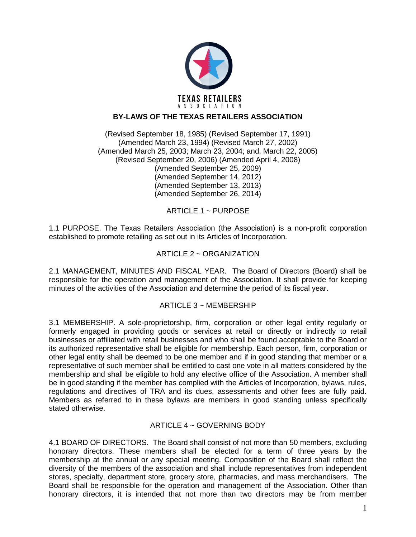

# **BY-LAWS OF THE TEXAS RETAILERS ASSOCIATION**

(Revised September 18, 1985) (Revised September 17, 1991) (Amended March 23, 1994) (Revised March 27, 2002) (Amended March 25, 2003; March 23, 2004; and, March 22, 2005) (Revised September 20, 2006) (Amended April 4, 2008) (Amended September 25, 2009) (Amended September 14, 2012) (Amended September 13, 2013) (Amended September 26, 2014)

ARTICLE 1 ~ PURPOSE

1.1 PURPOSE. The Texas Retailers Association (the Association) is a non-profit corporation established to promote retailing as set out in its Articles of Incorporation.

### ARTICLE 2 ~ ORGANIZATION

2.1 MANAGEMENT, MINUTES AND FISCAL YEAR. The Board of Directors (Board) shall be responsible for the operation and management of the Association. It shall provide for keeping minutes of the activities of the Association and determine the period of its fiscal year.

### ARTICLE 3 ~ MEMBERSHIP

3.1 MEMBERSHIP. A sole-proprietorship, firm, corporation or other legal entity regularly or formerly engaged in providing goods or services at retail or directly or indirectly to retail businesses or affiliated with retail businesses and who shall be found acceptable to the Board or its authorized representative shall be eligible for membership. Each person, firm, corporation or other legal entity shall be deemed to be one member and if in good standing that member or a representative of such member shall be entitled to cast one vote in all matters considered by the membership and shall be eligible to hold any elective office of the Association. A member shall be in good standing if the member has complied with the Articles of Incorporation, bylaws, rules, regulations and directives of TRA and its dues, assessments and other fees are fully paid. Members as referred to in these bylaws are members in good standing unless specifically stated otherwise.

### ARTICLE 4 ~ GOVERNING BODY

4.1 BOARD OF DIRECTORS. The Board shall consist of not more than 50 members, excluding honorary directors. These members shall be elected for a term of three years by the membership at the annual or any special meeting. Composition of the Board shall reflect the diversity of the members of the association and shall include representatives from independent stores, specialty, department store, grocery store, pharmacies, and mass merchandisers. The Board shall be responsible for the operation and management of the Association. Other than honorary directors, it is intended that not more than two directors may be from member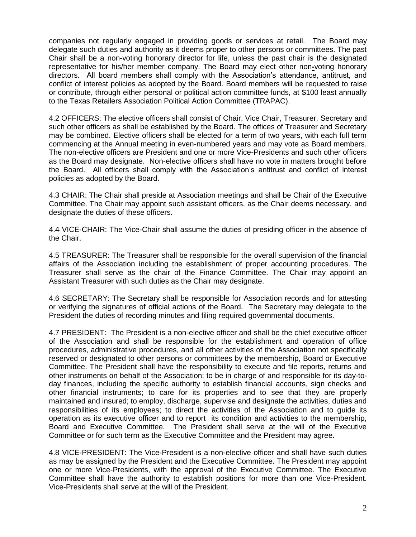companies not regularly engaged in providing goods or services at retail. The Board may delegate such duties and authority as it deems proper to other persons or committees. The past Chair shall be a non-voting honorary director for life, unless the past chair is the designated representative for his/her member company. The Board may elect other non**-**voting honorary directors. All board members shall comply with the Association's attendance, antitrust, and conflict of interest policies as adopted by the Board. Board members will be requested to raise or contribute, through either personal or political action committee funds, at \$100 least annually to the Texas Retailers Association Political Action Committee (TRAPAC).

4.2 OFFICERS: The elective officers shall consist of Chair, Vice Chair, Treasurer, Secretary and such other officers as shall be established by the Board. The offices of Treasurer and Secretary may be combined. Elective officers shall be elected for a term of two years, with each full term commencing at the Annual meeting in even-numbered years and may vote as Board members. The non-elective officers are President and one or more Vice-Presidents and such other officers as the Board may designate. Non-elective officers shall have no vote in matters brought before the Board. All officers shall comply with the Association's antitrust and conflict of interest policies as adopted by the Board.

4.3 CHAIR: The Chair shall preside at Association meetings and shall be Chair of the Executive Committee. The Chair may appoint such assistant officers, as the Chair deems necessary, and designate the duties of these officers.

4.4 VICE-CHAIR: The Vice-Chair shall assume the duties of presiding officer in the absence of the Chair.

4.5 TREASURER: The Treasurer shall be responsible for the overall supervision of the financial affairs of the Association including the establishment of proper accounting procedures. The Treasurer shall serve as the chair of the Finance Committee. The Chair may appoint an Assistant Treasurer with such duties as the Chair may designate.

4.6 SECRETARY: The Secretary shall be responsible for Association records and for attesting or verifying the signatures of official actions of the Board. The Secretary may delegate to the President the duties of recording minutes and filing required governmental documents.

4.7 PRESIDENT: The President is a non-elective officer and shall be the chief executive officer of the Association and shall be responsible for the establishment and operation of office procedures, administrative procedures, and all other activities of the Association not specifically reserved or designated to other persons or committees by the membership, Board or Executive Committee. The President shall have the responsibility to execute and file reports, returns and other instruments on behalf of the Association; to be in charge of and responsible for its day-today finances, including the specific authority to establish financial accounts, sign checks and other financial instruments; to care for its properties and to see that they are properly maintained and insured; to employ, discharge, supervise and designate the activities, duties and responsibilities of its employees; to direct the activities of the Association and to guide its operation as its executive officer and to report its condition and activities to the membership, Board and Executive Committee. The President shall serve at the will of the Executive Committee or for such term as the Executive Committee and the President may agree.

4.8 VICE-PRESIDENT: The Vice-President is a non-elective officer and shall have such duties as may be assigned by the President and the Executive Committee. The President may appoint one or more Vice-Presidents, with the approval of the Executive Committee. The Executive Committee shall have the authority to establish positions for more than one Vice-President. Vice-Presidents shall serve at the will of the President.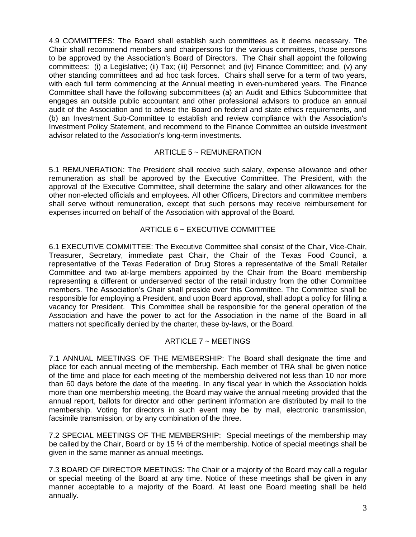4.9 COMMITTEES: The Board shall establish such committees as it deems necessary. The Chair shall recommend members and chairpersons for the various committees, those persons to be approved by the Association's Board of Directors. The Chair shall appoint the following committees: (i) a Legislative; (ii) Tax; (iii) Personnel; and (iv) Finance Committee; and, (v) any other standing committees and ad hoc task forces. Chairs shall serve for a term of two years, with each full term commencing at the Annual meeting in even-numbered years. The Finance Committee shall have the following subcommittees (a) an Audit and Ethics Subcommittee that engages an outside public accountant and other professional advisors to produce an annual audit of the Association and to advise the Board on federal and state ethics requirements, and (b) an Investment Sub-Committee to establish and review compliance with the Association's Investment Policy Statement, and recommend to the Finance Committee an outside investment advisor related to the Association's long-term investments.

### ARTICLE 5 ~ REMUNERATION

5.1 REMUNERATION: The President shall receive such salary, expense allowance and other remuneration as shall be approved by the Executive Committee. The President, with the approval of the Executive Committee, shall determine the salary and other allowances for the other non-elected officials and employees. All other Officers, Directors and committee members shall serve without remuneration, except that such persons may receive reimbursement for expenses incurred on behalf of the Association with approval of the Board.

# ARTICLE 6 ~ EXECUTIVE COMMITTEE

6.1 EXECUTIVE COMMITTEE: The Executive Committee shall consist of the Chair, Vice-Chair, Treasurer, Secretary, immediate past Chair, the Chair of the Texas Food Council, a representative of the Texas Federation of Drug Stores a representative of the Small Retailer Committee and two at-large members appointed by the Chair from the Board membership representing a different or underserved sector of the retail industry from the other Committee members. The Association's Chair shall preside over this Committee. The Committee shall be responsible for employing a President, and upon Board approval, shall adopt a policy for filling a vacancy for President. This Committee shall be responsible for the general operation of the Association and have the power to act for the Association in the name of the Board in all matters not specifically denied by the charter, these by-laws, or the Board.

# ARTICLE 7 ~ MEETINGS

7.1 ANNUAL MEETINGS OF THE MEMBERSHIP: The Board shall designate the time and place for each annual meeting of the membership. Each member of TRA shall be given notice of the time and place for each meeting of the membership delivered not less than 10 nor more than 60 days before the date of the meeting. In any fiscal year in which the Association holds more than one membership meeting, the Board may waive the annual meeting provided that the annual report, ballots for director and other pertinent information are distributed by mail to the membership. Voting for directors in such event may be by mail, electronic transmission, facsimile transmission, or by any combination of the three.

7.2 SPECIAL MEETINGS OF THE MEMBERSHIP: Special meetings of the membership may be called by the Chair, Board or by 15 % of the membership. Notice of special meetings shall be given in the same manner as annual meetings.

7.3 BOARD OF DIRECTOR MEETINGS: The Chair or a majority of the Board may call a regular or special meeting of the Board at any time. Notice of these meetings shall be given in any manner acceptable to a majority of the Board. At least one Board meeting shall be held annually.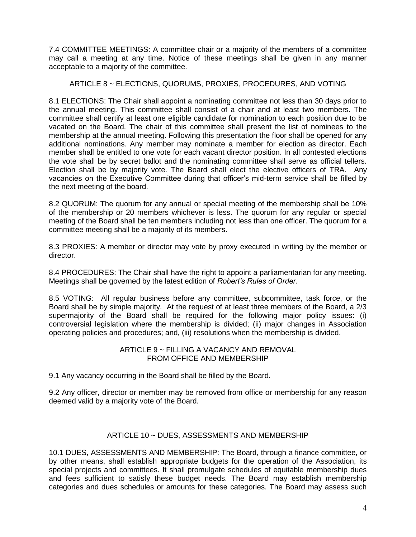7.4 COMMITTEE MEETINGS: A committee chair or a majority of the members of a committee may call a meeting at any time. Notice of these meetings shall be given in any manner acceptable to a majority of the committee.

### ARTICLE 8 ~ ELECTIONS, QUORUMS, PROXIES, PROCEDURES, AND VOTING

8.1 ELECTIONS: The Chair shall appoint a nominating committee not less than 30 days prior to the annual meeting. This committee shall consist of a chair and at least two members. The committee shall certify at least one eligible candidate for nomination to each position due to be vacated on the Board. The chair of this committee shall present the list of nominees to the membership at the annual meeting. Following this presentation the floor shall be opened for any additional nominations. Any member may nominate a member for election as director. Each member shall be entitled to one vote for each vacant director position. In all contested elections the vote shall be by secret ballot and the nominating committee shall serve as official tellers. Election shall be by majority vote. The Board shall elect the elective officers of TRA. Any vacancies on the Executive Committee during that officer's mid-term service shall be filled by the next meeting of the board.

8.2 QUORUM: The quorum for any annual or special meeting of the membership shall be 10% of the membership or 20 members whichever is less. The quorum for any regular or special meeting of the Board shall be ten members including not less than one officer. The quorum for a committee meeting shall be a majority of its members.

8.3 PROXIES: A member or director may vote by proxy executed in writing by the member or director.

8.4 PROCEDURES: The Chair shall have the right to appoint a parliamentarian for any meeting. Meetings shall be governed by the latest edition of *Robert's Rules of Order*.

8.5 VOTING: All regular business before any committee, subcommittee, task force, or the Board shall be by simple majority. At the request of at least three members of the Board, a 2/3 supermajority of the Board shall be required for the following major policy issues: (i) controversial legislation where the membership is divided; (ii) major changes in Association operating policies and procedures; and, (iii) resolutions when the membership is divided.

#### ARTICLE 9 ~ FILLING A VACANCY AND REMOVAL FROM OFFICE AND MEMBERSHIP

9.1 Any vacancy occurring in the Board shall be filled by the Board.

9.2 Any officer, director or member may be removed from office or membership for any reason deemed valid by a majority vote of the Board.

### ARTICLE 10 ~ DUES, ASSESSMENTS AND MEMBERSHIP

10.1 DUES, ASSESSMENTS AND MEMBERSHIP: The Board, through a finance committee, or by other means, shall establish appropriate budgets for the operation of the Association, its special projects and committees. It shall promulgate schedules of equitable membership dues and fees sufficient to satisfy these budget needs. The Board may establish membership categories and dues schedules or amounts for these categories. The Board may assess such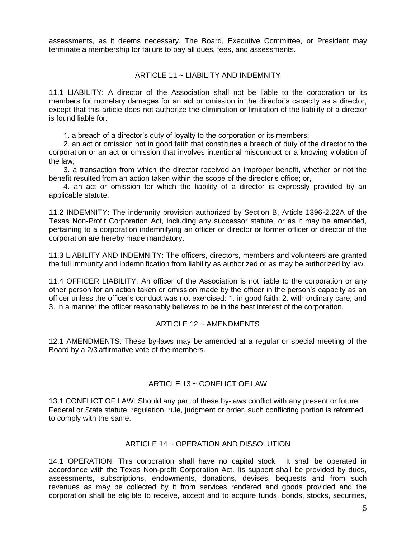assessments, as it deems necessary. The Board, Executive Committee, or President may terminate a membership for failure to pay all dues, fees, and assessments.

#### ARTICLE 11 ~ LIABILITY AND INDEMNITY

11.1 LIABILITY: A director of the Association shall not be liable to the corporation or its members for monetary damages for an act or omission in the director's capacity as a director, except that this article does not authorize the elimination or limitation of the liability of a director is found liable for:

1. a breach of a director's duty of loyalty to the corporation or its members;

 2. an act or omission not in good faith that constitutes a breach of duty of the director to the corporation or an act or omission that involves intentional misconduct or a knowing violation of the law;

 3. a transaction from which the director received an improper benefit, whether or not the benefit resulted from an action taken within the scope of the director's office; or,

 4. an act or omission for which the liability of a director is expressly provided by an applicable statute.

11.2 INDEMNITY: The indemnity provision authorized by Section B, Article 1396-2.22A of the Texas Non-Profit Corporation Act, including any successor statute, or as it may be amended, pertaining to a corporation indemnifying an officer or director or former officer or director of the corporation are hereby made mandatory.

11.3 LIABILITY AND INDEMNITY: The officers, directors, members and volunteers are granted the full immunity and indemnification from liability as authorized or as may be authorized by law.

11.4 OFFICER LIABILITY: An officer of the Association is not liable to the corporation or any other person for an action taken or omission made by the officer in the person's capacity as an officer unless the officer's conduct was not exercised: 1. in good faith: 2. with ordinary care; and 3. in a manner the officer reasonably believes to be in the best interest of the corporation.

#### ARTICLE 12 ~ AMENDMENTS

12.1 AMENDMENTS: These by-laws may be amended at a regular or special meeting of the Board by a 2/3 affirmative vote of the members.

### ARTICLE 13 ~ CONFLICT OF LAW

13.1 CONFLICT OF LAW: Should any part of these by-laws conflict with any present or future Federal or State statute, regulation, rule, judgment or order, such conflicting portion is reformed to comply with the same.

#### ARTICLE 14 ~ OPERATION AND DISSOLUTION

14.1 OPERATION: This corporation shall have no capital stock. It shall be operated in accordance with the Texas Non-profit Corporation Act. Its support shall be provided by dues, assessments, subscriptions, endowments, donations, devises, bequests and from such revenues as may be collected by it from services rendered and goods provided and the corporation shall be eligible to receive, accept and to acquire funds, bonds, stocks, securities,